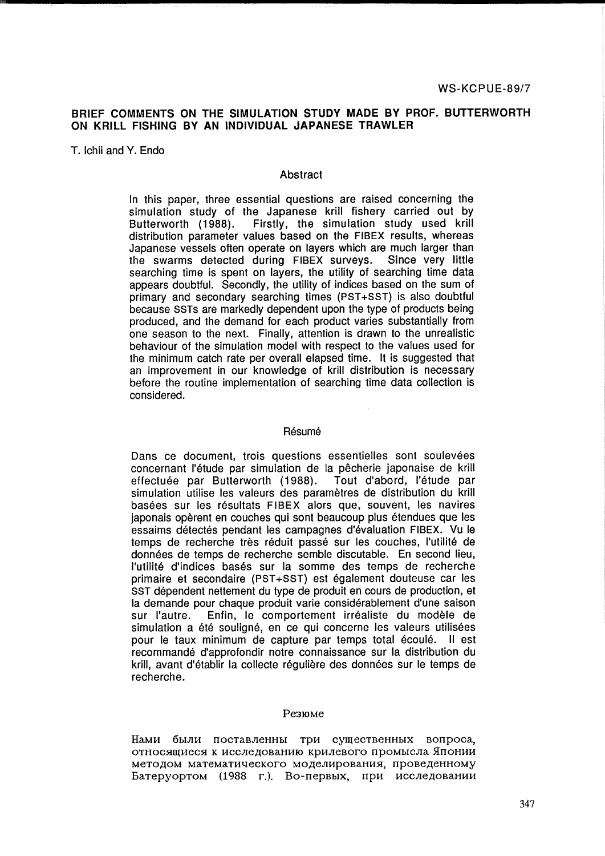# BRIEF COMMENTS ON THE SIMULATION STUDY MADE BY PROF. BUTTERWORTH ON KRILL FISHING BY AN INDIVIDUAL JAPANESE TRAWLER

T. Ichii and Y. Endo

## **Abstract**

In this paper, three essential questions are raised concerning the simulation study of the Japanese krill fishery carried out by Butterworth (1988). Firstly, the simulation study used krill distribution parameter values based on the FIBEX results, whereas Japanese vessels often operate on layers which are much larger than the swarms detected during FIBEX surveys. Since very little searching time is spent on layers, the utility of searching time data appears doubtful. Secondly, the utility of indices based on the sum of primary and secondary searching times (PST+SST) is also doubtful because SSTs are markedly dependent upon the type of products being produced, and the demand for each product varies substantially from one season to the next. Finally, attention is drawn to the unrealistic behaviour of the simulation model with respect to the values used for the minimum catch rate per overall elapsed time. It is suggested that an improvement in our knowledge of krill distribution is necessary before the routine implementation of searching time data collection is considered.

#### Résumé

Dans ce document, trois questions essentielles sont soulevées concernant I'etude par simulation de la pecherie japonaise de krill effectuée par Butterworth (1988). Tout d'abord, l'étude par simulation utilise les valeurs des parametres de distribution du krill basées sur les résultats FIBEX alors que, souvent, les navires japonais opèrent en couches qui sont beaucoup plus étendues que les essaims détectés pendant les campagnes d'évaluation FIBEX. Vu le temps de recherche très réduit passé sur les couches, l'utilité de données de temps de recherche semble discutable. En second lieu, l'utilité d'indices basés sur la somme des temps de recherche primaire et secondaire (PST+SST) est également douteuse car les SST dépendent nettement du type de produit en cours de production, et la demande pour chaque produit varie considérablement d'une saison sur l'autre. Enfin, le comportement irréaliste du modèle de simulation a été souligné, en ce qui concerne les valeurs utilisées pour le taux minimum de capture par temps total écoulé. Il est recommande d'approfondir notre connaissance sur la distribution du krill, avant d'établir la collecte régulière des données sur le temps de recherche.

#### Pe310Me

HaMH 6bIJIH nOCTaBJIeHHbI TpH cYIQecTBeHHbIx Bonpoca, относящиеся к исследованию крилевого промысла Японии методом математического моделирования, проведенному Батеруортом (1988 г.). Во-первых, при исследовании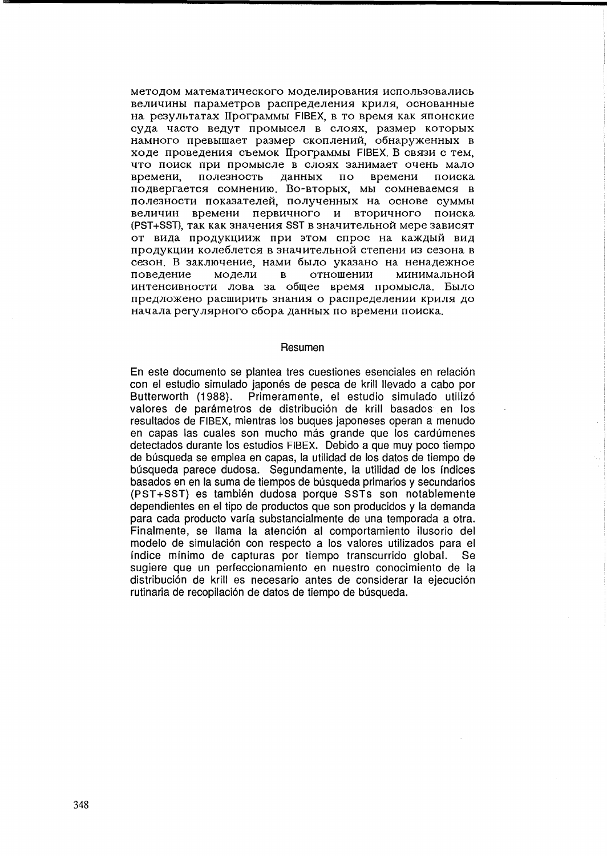методом математического моделирования использовались величины параметров распределения криля, основанные на результатах Программы FIBEX, в то время как японские суда часто ведут промысел в слоях, размер которых намного превышает размер скоплений, обнаруженных в ходе проведения съемок Программы FIBEX В связи с тем. что поиск при промысле в слоях занимает очень мало полезность времени времени. ланных  $\overline{\mathbf{u}}$ поиска подвергается сомнению. Во-вторых, мы сомневаемся в полезности показателей, полученных на основе суммы величин времени первичного и вторичного поиска (PST+SST), так как значения SST в значительной мере зависят от вида продукцииж при этом спрос на каждый вид продукции колеблется в значительной степени из сезона в сезон. В заключение, нами было указано на ненадежное повеление молели  $\overline{R}$ отношении минимальной интенсивности лова за общее время промысла. Было предложено расширить знания о распределении криля до начала регулярного сбора данных по времени поиска.

#### Resumen

En este documento se plantea tres cuestiones esenciales en relación con el estudio simulado japonés de pesca de krill llevado a cabo por Butterworth (1988). Primeramente, el estudio simulado utilizó valores de parámetros de distribución de krill basados en los resultados de FIBEX, mientras los bugues japoneses operan a menudo en capas las cuales son mucho más grande que los cardúmenes detectados durante los estudios FIBEX. Debido a que muy poco tiempo de búsqueda se emplea en capas, la utilidad de los datos de tiempo de búsqueda parece dudosa. Segundamente, la utilidad de los índices basados en en la suma de tiempos de búsqueda primarios y secundarios (PST+SST) es también dudosa porque SSTs son notablemente dependientes en el tipo de productos que son producidos y la demanda para cada producto varía substancialmente de una temporada a otra. Finalmente, se llama la atención al comportamiento ilusorio del modelo de simulación con respecto a los valores utilizados para el índice mínimo de capturas por tiempo transcurrido global. **Se** sugiere que un perfeccionamiento en nuestro conocimiento de la distribución de krill es necesario antes de considerar la ejecución rutinaria de recopilación de datos de tiempo de búsqueda.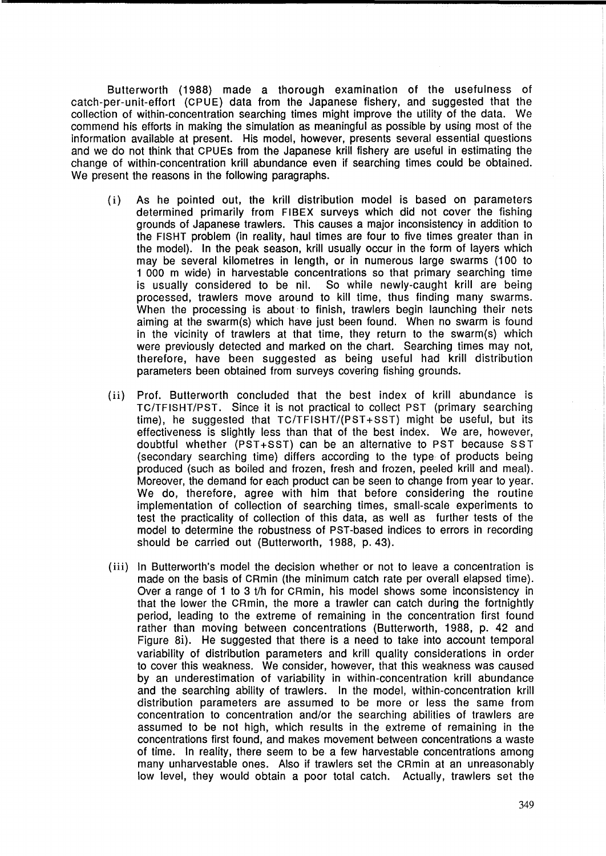Butterworth (1988) made a thorough examination of the usefulness of catch-per-unit-effort (CPUE) data from the Japanese fishery, and suggested that the collection of within-concentration searching times might improve the utility of the data. We commend his efforts in making the simulation as meaningful as possible by using most of the information available at present. His model, however, presents several essential questions and we do not think that CPUEs from the Japanese krill fishery are useful in estimating the change of within-concentration krill abundance even if searching times could be obtained. We present the reasons in the following paragraphs.

- (i) As he pointed out, the krill distribution model is based on parameters determined primarily from FIBEX surveys which did not cover the fishing grounds of Japanese trawlers. This causes a major inconsistency in addition to the FISHT problem (in reality, haul times are four to five times greater than in the model). In the peak season, krill usually occur in the form of layers which may be several kilometres in length, or in numerous large swarms (100 to 1 000 m wide) in harvestable concentrations so that primary searching time is usually considered to be nil. So while newly-caught krill are being processed, trawlers move around to kill time, thus finding many swarms. When the processing is about to finish, trawlers begin launching their nets aiming at the swarm(s) which have just been found. When no swarm is found in the vicinity of trawlers at that time, they return to the swarm(s) which were previously detected and marked on the chart. Searching times may not, therefore, have been suggested as being useful had krill distribution parameters been obtained from surveys covering fishing grounds.
- (ii) Prof. Butterworth concluded that the best index of krill abundance is TC/TFISHT/PST. Since it is not practical to collect PST (primary searching time), he suggested that TC/TFISHT/(PST +SST) might be useful, but its effectiveness is slightly less than that of the best index. We are, however, doubtful whether (PST+SST) can be an alternative to PST because SST (secondary searching time) differs according to the type, of products being produced (such as boiled and frozen, fresh and frozen, peeled krill and meal). Moreover, the demand for each product can be seen to change from year to year. We do, therefore, agree with him that before considering the routine implementation of collection of searching times, small-scale experiments to test the practicality of collection of this data, as well as further tests of the model to determine the robustness of PST-based indices to errors in recording should be carried out (Butterworth, 1988, p.43).
- (iii) In Butterworth's model the decision whether or not to leave a concentration is made on the basis of CRmin (the minimum catch rate per overall elapsed time). Over a range of 1 to 3 t/h for CRmin, his model shows some inconsistency in that the lower the CRmin, the more a trawler can catch during the fortnightly period, leading to the extreme of remaining in the concentration first found rather than moving between concentrations (Butterworth, 1988, p. 42 and Figure 8i). He suggested that there is a need to take into account temporal variability of distribution parameters and krill quality considerations in order to cover this weakness. We consider, however, that this weakness was caused by an underestimation of variability in within-concentration krill abundance and the searching ability of trawlers. In the model, within-concentration krill distribution parameters are assumed to be more or less the same from concentration to concentration and/or the searching abilities of trawlers are assumed to be not high, which results in the extreme of remaining in the concentrations first found, and makes movement between concentrations a waste of time. In reality, there seem to be a few harvestable concentrations among many unharvestable ones. Also if trawlers set the CRmin at an unreasonably low level, they would obtain a poor total catch. Actually, trawlers set the